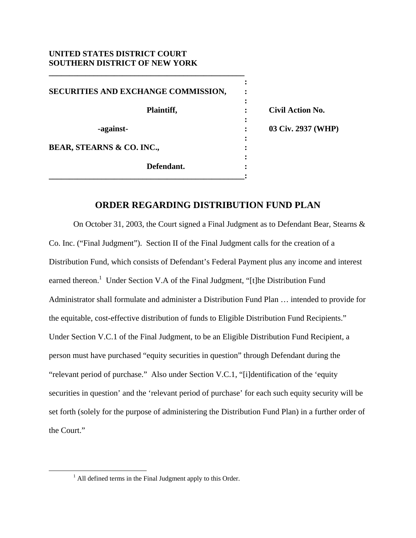## **UNITED STATES DISTRICT COURT SOUTHERN DISTRICT OF NEW YORK**

**\_\_\_\_\_\_\_\_\_\_\_\_\_\_\_\_\_\_\_\_\_\_\_\_\_\_\_\_\_\_\_\_\_\_\_\_\_\_\_\_\_\_\_\_\_\_\_\_** 

*x*  $\mathbf{r}$   $\mathbf{r}$   $\mathbf{r}$   $\mathbf{r}$   $\mathbf{r}$   $\mathbf{r}$   $\mathbf{r}$   $\mathbf{r}$   $\mathbf{r}$   $\mathbf{r}$   $\mathbf{r}$   $\mathbf{r}$   $\mathbf{r}$   $\mathbf{r}$   $\mathbf{r}$   $\mathbf{r}$   $\mathbf{r}$   $\mathbf{r}$   $\mathbf{r}$   $\mathbf{r}$   $\mathbf{r}$   $\mathbf{r}$   $\mathbf{r}$   $\mathbf{r}$  **SECURITIES AND EXCHANGE COMMISSION, :**  *x*  $\mathbf{r}$   $\mathbf{r}$   $\mathbf{r}$   $\mathbf{r}$   $\mathbf{r}$   $\mathbf{r}$   $\mathbf{r}$   $\mathbf{r}$   $\mathbf{r}$   $\mathbf{r}$   $\mathbf{r}$   $\mathbf{r}$   $\mathbf{r}$   $\mathbf{r}$   $\mathbf{r}$   $\mathbf{r}$   $\mathbf{r}$   $\mathbf{r}$   $\mathbf{r}$   $\mathbf{r}$   $\mathbf{r}$   $\mathbf{r}$   $\mathbf{r}$   $\mathbf{r}$   **Plaintiff, : Civil Action No.**  *x*  $\mathbf{r}$   $\mathbf{r}$   $\mathbf{r}$   $\mathbf{r}$   $\mathbf{r}$   $\mathbf{r}$   $\mathbf{r}$   $\mathbf{r}$   $\mathbf{r}$   $\mathbf{r}$   $\mathbf{r}$   $\mathbf{r}$   $\mathbf{r}$   $\mathbf{r}$   $\mathbf{r}$   $\mathbf{r}$   $\mathbf{r}$   $\mathbf{r}$   $\mathbf{r}$   $\mathbf{r}$   $\mathbf{r}$   $\mathbf{r}$   $\mathbf{r}$   $\mathbf{r}$   **-against- : 03 Civ. 2937 (WHP)**  *x*  $\mathbf{r}$   $\mathbf{r}$   $\mathbf{r}$   $\mathbf{r}$   $\mathbf{r}$   $\mathbf{r}$   $\mathbf{r}$   $\mathbf{r}$   $\mathbf{r}$   $\mathbf{r}$   $\mathbf{r}$   $\mathbf{r}$   $\mathbf{r}$   $\mathbf{r}$   $\mathbf{r}$   $\mathbf{r}$   $\mathbf{r}$   $\mathbf{r}$   $\mathbf{r}$   $\mathbf{r}$   $\mathbf{r}$   $\mathbf{r}$   $\mathbf{r}$   $\mathbf{r}$  **BEAR, STEARNS & CO. INC.,**  $\qquad \qquad$  **:** *x*  $\mathbf{r}$  :  $\mathbf{r}$  is the set of  $\mathbf{r}$  is the set of  $\mathbf{r}$  is the set of  $\mathbf{r}$  is the set of  $\mathbf{r}$  **Defendant. : \_\_\_\_\_\_\_\_\_\_\_\_\_\_\_\_\_\_\_\_\_\_\_\_\_\_\_\_\_\_\_\_\_\_\_\_\_\_\_\_\_\_\_\_\_\_\_\_:**

## **ORDER REGARDING DISTRIBUTION FUND PLAN**

 On October 31, 2003, the Court signed a Final Judgment as to Defendant Bear, Stearns & Co. Inc. ("Final Judgment"). Section II of the Final Judgment calls for the creation of a Distribution Fund, which consists of Defendant's Federal Payment plus any income and interest earned thereon.<sup>[1](#page-0-0)</sup> Under Section V.A of the Final Judgment, "[t]he Distribution Fund Administrator shall formulate and administer a Distribution Fund Plan … intended to provide for the equitable, cost-effective distribution of funds to Eligible Distribution Fund Recipients." Under Section V.C.1 of the Final Judgment, to be an Eligible Distribution Fund Recipient, a person must have purchased "equity securities in question" through Defendant during the "relevant period of purchase." Also under Section V.C.1, "[i]dentification of the 'equity securities in question' and the 'relevant period of purchase' for each such equity security will be set forth (solely for the purpose of administering the Distribution Fund Plan) in a further order of the Court."

<span id="page-0-0"></span> $\frac{1}{1}$  $<sup>1</sup>$  All defined terms in the Final Judgment apply to this Order.</sup>